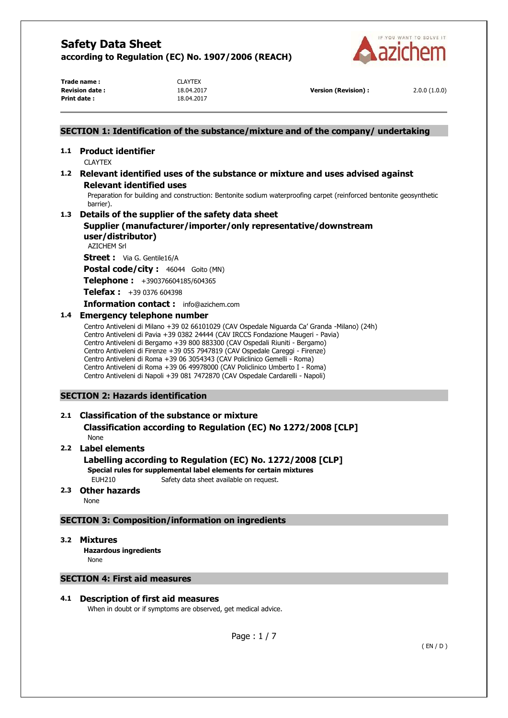

**Trade name :** CLAYTEX **Print date :** 18.04.2017

**Revision date :** 18.04.2017 **Version (Revision) :** 2.0.0 (1.0.0)

# **SECTION 1: Identification of the substance/mixture and of the company/ undertaking**

# **1.1 Product identifier**

CLAYTEX

# **1.2 Relevant identified uses of the substance or mixture and uses advised against Relevant identified uses**

Preparation for building and construction: Bentonite sodium waterproofing carpet (reinforced bentonite geosynthetic barrier).

# **1.3 Details of the supplier of the safety data sheet**

**Supplier (manufacturer/importer/only representative/downstream user/distributor)** 

AZICHEM Srl

**Street :** Via G. Gentile16/A

Postal code/city : 46044 Goito (MN)

**Telephone :** +390376604185/604365

**Telefax :** +39 0376 604398

**Information contact :** info@azichem.com

# **1.4 Emergency telephone number**

Centro Antiveleni di Milano +39 02 66101029 (CAV Ospedale Niguarda Ca' Granda -Milano) (24h) Centro Antiveleni di Pavia +39 0382 24444 (CAV IRCCS Fondazione Maugeri - Pavia) Centro Antiveleni di Bergamo +39 800 883300 (CAV Ospedali Riuniti - Bergamo) Centro Antiveleni di Firenze +39 055 7947819 (CAV Ospedale Careggi - Firenze) Centro Antiveleni di Roma +39 06 3054343 (CAV Policlinico Gemelli - Roma) Centro Antiveleni di Roma +39 06 49978000 (CAV Policlinico Umberto I - Roma) Centro Antiveleni di Napoli +39 081 7472870 (CAV Ospedale Cardarelli - Napoli)

# **SECTION 2: Hazards identification**

# **2.1 Classification of the substance or mixture Classification according to Regulation (EC) No 1272/2008 [CLP]**

None

# **2.2 Label elements**

**Labelling according to Regulation (EC) No. 1272/2008 [CLP]** 

**Special rules for supplemental label elements for certain mixtures** 

EUH210 Safety data sheet available on request.

# **2.3 Other hazards**

None

# **SECTION 3: Composition/information on ingredients**

**3.2 Mixtures** 

**Hazardous ingredients** None

# **SECTION 4: First aid measures**

# **4.1 Description of first aid measures**

When in doubt or if symptoms are observed, get medical advice.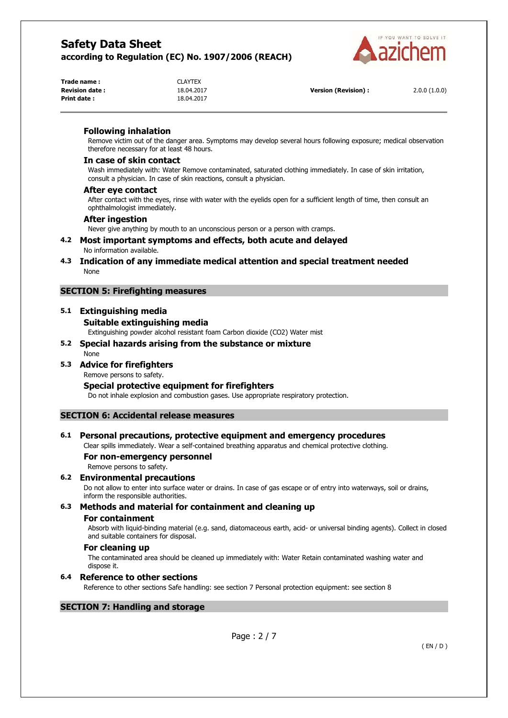

| Trade name :    |  |
|-----------------|--|
| Revision date : |  |
| Print date :    |  |

**Trade name :** CLAYTEX **Print date :** 18.04.2017

**Revision date :** 18.04.2017 **Version (Revision) :** 2.0.0 (1.0.0)

# **Following inhalation**

Remove victim out of the danger area. Symptoms may develop several hours following exposure; medical observation therefore necessary for at least 48 hours.

### **In case of skin contact**

Wash immediately with: Water Remove contaminated, saturated clothing immediately. In case of skin irritation, consult a physician. In case of skin reactions, consult a physician.

# **After eye contact**

After contact with the eyes, rinse with water with the eyelids open for a sufficient length of time, then consult an ophthalmologist immediately.

### **After ingestion**

Never give anything by mouth to an unconscious person or a person with cramps.

#### **4.2 Most important symptoms and effects, both acute and delayed**  No information available.

**4.3 Indication of any immediate medical attention and special treatment needed**  None

# **SECTION 5: Firefighting measures**

# **5.1 Extinguishing media Suitable extinguishing media**

Extinguishing powder alcohol resistant foam Carbon dioxide (CO2) Water mist

#### **5.2 Special hazards arising from the substance or mixture**  None

# **5.3 Advice for firefighters**

Remove persons to safety.

# **Special protective equipment for firefighters**

Do not inhale explosion and combustion gases. Use appropriate respiratory protection.

# **SECTION 6: Accidental release measures**

# **6.1 Personal precautions, protective equipment and emergency procedures**

Clear spills immediately. Wear a self-contained breathing apparatus and chemical protective clothing.

# **For non-emergency personnel**

Remove persons to safety.

# **6.2 Environmental precautions**

Do not allow to enter into surface water or drains. In case of gas escape or of entry into waterways, soil or drains, inform the responsible authorities.

# **6.3 Methods and material for containment and cleaning up**

# **For containment**

Absorb with liquid-binding material (e.g. sand, diatomaceous earth, acid- or universal binding agents). Collect in closed and suitable containers for disposal.

# **For cleaning up**

The contaminated area should be cleaned up immediately with: Water Retain contaminated washing water and dispose it.

# **6.4 Reference to other sections**

Reference to other sections Safe handling: see section 7 Personal protection equipment: see section 8

# **SECTION 7: Handling and storage**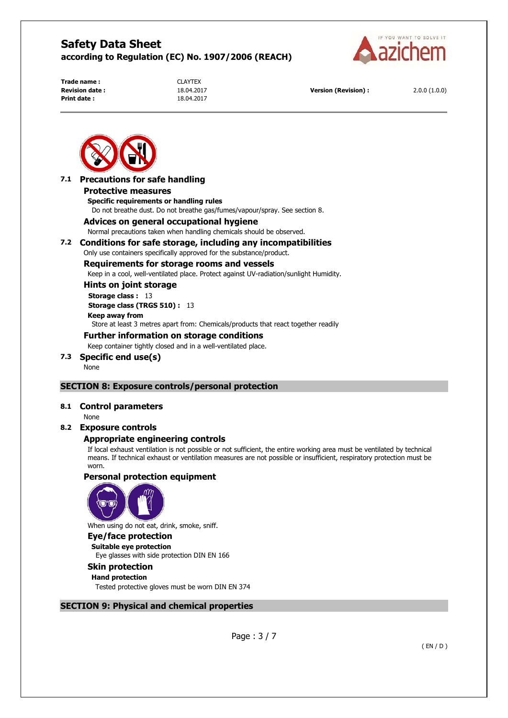

**Trade name :** CLAYTEX **Print date :** 18.04.2017

**Revision date :** 18.04.2017 **Version (Revision) :** 2.0.0 (1.0.0)



# **7.1 Precautions for safe handling**

#### **Protective measures**

**Specific requirements or handling rules**  Do not breathe dust. Do not breathe gas/fumes/vapour/spray. See section 8.

### **Advices on general occupational hygiene**

Normal precautions taken when handling chemicals should be observed.

### **7.2 Conditions for safe storage, including any incompatibilities**

Only use containers specifically approved for the substance/product.

# **Requirements for storage rooms and vessels**

Keep in a cool, well-ventilated place. Protect against UV-radiation/sunlight Humidity.

### **Hints on joint storage**

**Storage class :** 13

**Storage class (TRGS 510) :** 13

#### **Keep away from**

Store at least 3 metres apart from: Chemicals/products that react together readily

### **Further information on storage conditions**

Keep container tightly closed and in a well-ventilated place.

#### **7.3 Specific end use(s)**

None

# **SECTION 8: Exposure controls/personal protection**

#### **8.1 Control parameters**

None

#### **8.2 Exposure controls**

# **Appropriate engineering controls**

If local exhaust ventilation is not possible or not sufficient, the entire working area must be ventilated by technical means. If technical exhaust or ventilation measures are not possible or insufficient, respiratory protection must be worn.

# **Personal protection equipment**



When using do not eat, drink, smoke, sniff.

#### **Eye/face protection Suitable eye protection**

Eye glasses with side protection DIN EN 166

# **Skin protection**

**Hand protection**  Tested protective gloves must be worn DIN EN 374

#### **SECTION 9: Physical and chemical properties**

Page : 3 / 7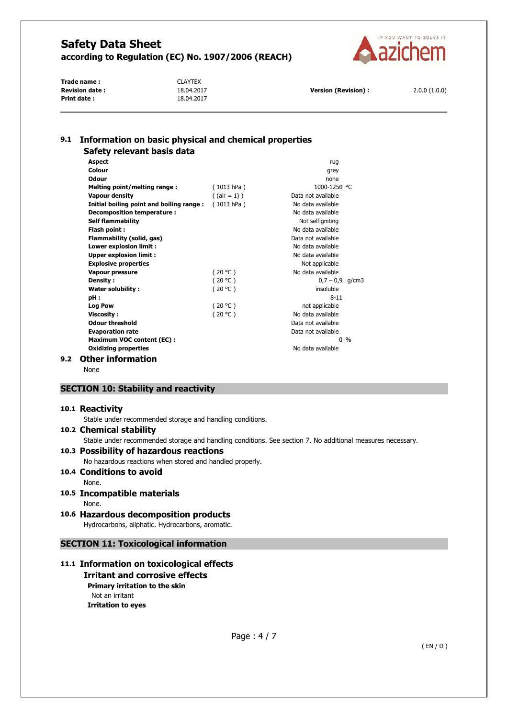

**Trade name :** CLAYTEX **Revision date :** 18.04.2017 **Version (Revision) :** 2.0.0 (1.0.0) **Print date :** 18.04.2017

# **9.1 Information on basic physical and chemical properties Safety relevant basis data**

|     | <b>Aspect</b>                            |                 | ruq                |       |
|-----|------------------------------------------|-----------------|--------------------|-------|
|     | Colour                                   |                 | grey               |       |
|     | Odour                                    |                 | none               |       |
|     | Melting point/melting range:             | (1013 hPa)      | 1000-1250 °C       |       |
|     | Vapour density                           | $($ (air = 1) ) | Data not available |       |
|     | Initial boiling point and boiling range: | (1013 hPa)      | No data available  |       |
|     | Decomposition temperature :              |                 | No data available  |       |
|     | <b>Self flammability</b>                 |                 | Not selfigniting   |       |
|     | Flash point:                             |                 | No data available  |       |
|     | Flammability (solid, gas)                |                 | Data not available |       |
|     | Lower explosion limit :                  |                 | No data available  |       |
|     | <b>Upper explosion limit:</b>            |                 | No data available  |       |
|     | <b>Explosive properties</b>              |                 | Not applicable     |       |
|     | <b>Vapour pressure</b>                   | (20 °C)         | No data available  |       |
|     | <b>Density:</b>                          | (20 °C)         | $0.7 - 0.9$ a/cm3  |       |
|     | <b>Water solubility:</b>                 | (20 °C)         | insoluble          |       |
|     | pH:                                      |                 | $8 - 11$           |       |
|     | <b>Log Pow</b>                           | (20 °C)         | not applicable     |       |
|     | <b>Viscosity:</b>                        | (20 °C)         | No data available  |       |
|     | <b>Odour threshold</b>                   |                 | Data not available |       |
|     | <b>Evaporation rate</b>                  |                 | Data not available |       |
|     | Maximum VOC content (EC):                |                 |                    | $0\%$ |
|     | <b>Oxidizing properties</b>              |                 | No data available  |       |
| 9.2 | Other information                        |                 |                    |       |

None

# **SECTION 10: Stability and reactivity**

#### **10.1 Reactivity**

Stable under recommended storage and handling conditions.

#### **10.2 Chemical stability**

Stable under recommended storage and handling conditions. See section 7. No additional measures necessary.

# **10.3 Possibility of hazardous reactions**

No hazardous reactions when stored and handled properly.

# **10.4 Conditions to avoid**

None.

# **10.5 Incompatible materials**

None.

# **10.6 Hazardous decomposition products**

Hydrocarbons, aliphatic. Hydrocarbons, aromatic.

# **SECTION 11: Toxicological information**

# **11.1 Information on toxicological effects**

# **Irritant and corrosive effects Primary irritation to the skin**  Not an irritant **Irritation to eyes**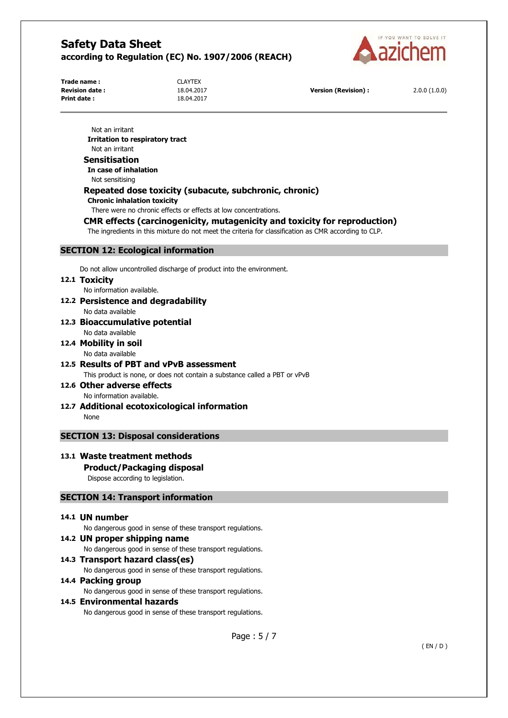

**Trade name :** CLAYTEX **Print date :** 18.04.2017

**Revision date :** 18.04.2017 **Version (Revision) :** 2.0.0 (1.0.0)

Not an irritant **Irritation to respiratory tract**  Not an irritant **Sensitisation In case of inhalation**  Not sensitising **Repeated dose toxicity (subacute, subchronic, chronic) Chronic inhalation toxicity**  There were no chronic effects or effects at low concentrations. **CMR effects (carcinogenicity, mutagenicity and toxicity for reproduction)**  The ingredients in this mixture do not meet the criteria for classification as CMR according to CLP.

# **SECTION 12: Ecological information**

Do not allow uncontrolled discharge of product into the environment.

#### **12.1 Toxicity**

No information available.

- **12.2 Persistence and degradability** 
	- No data available
- **12.3 Bioaccumulative potential**  No data available

#### **12.4 Mobility in soil**  No data available

- **12.5 Results of PBT and vPvB assessment**  This product is none, or does not contain a substance called a PBT or vPvB
- **12.6 Other adverse effects**  No information available.
- **12.7 Additional ecotoxicological information**  None

# **SECTION 13: Disposal considerations**

# **13.1 Waste treatment methods**

# **Product/Packaging disposal**

Dispose according to legislation.

#### **SECTION 14: Transport information**

### **14.1 UN number**

No dangerous good in sense of these transport regulations.

**14.2 UN proper shipping name**  No dangerous good in sense of these transport regulations. **14.3 Transport hazard class(es)** 

No dangerous good in sense of these transport regulations.

#### **14.4 Packing group**  No dangerous good in sense of these transport regulations.

**14.5 Environmental hazards** 

No dangerous good in sense of these transport regulations.

Page : 5 / 7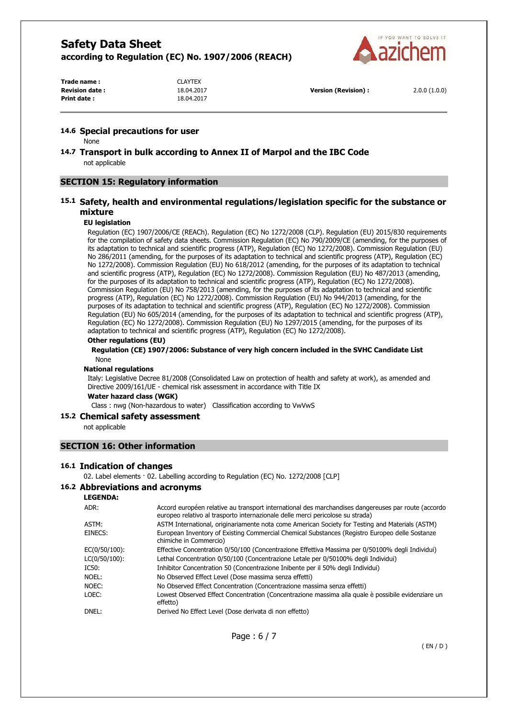

**Trade name :** CLAYTEX **Revision date :** 18.04.2017 **Version (Revision) :** 2.0.0 (1.0.0) **Print date :** 18.04.2017

#### **14.6 Special precautions for user**

None

**14.7 Transport in bulk according to Annex II of Marpol and the IBC Code**  not applicable

# **SECTION 15: Regulatory information**

# **15.1 Safety, health and environmental regulations/legislation specific for the substance or mixture**

#### **EU legislation**

Regulation (EC) 1907/2006/CE (REACh). Regulation (EC) No 1272/2008 (CLP). Regulation (EU) 2015/830 requirements for the compilation of safety data sheets. Commission Regulation (EC) No 790/2009/CE (amending, for the purposes of its adaptation to technical and scientific progress (ATP), Regulation (EC) No 1272/2008). Commission Regulation (EU) No 286/2011 (amending, for the purposes of its adaptation to technical and scientific progress (ATP), Regulation (EC) No 1272/2008). Commission Regulation (EU) No 618/2012 (amending, for the purposes of its adaptation to technical and scientific progress (ATP), Regulation (EC) No 1272/2008). Commission Regulation (EU) No 487/2013 (amending, for the purposes of its adaptation to technical and scientific progress (ATP), Regulation (EC) No 1272/2008). Commission Regulation (EU) No 758/2013 (amending, for the purposes of its adaptation to technical and scientific progress (ATP), Regulation (EC) No 1272/2008). Commission Regulation (EU) No 944/2013 (amending, for the purposes of its adaptation to technical and scientific progress (ATP), Regulation (EC) No 1272/2008). Commission Regulation (EU) No 605/2014 (amending, for the purposes of its adaptation to technical and scientific progress (ATP), Regulation (EC) No 1272/2008). Commission Regulation (EU) No 1297/2015 (amending, for the purposes of its adaptation to technical and scientific progress (ATP), Regulation (EC) No 1272/2008).

#### **Other regulations (EU)**

#### **Regulation (CE) 1907/2006: Substance of very high concern included in the SVHC Candidate List**  None

#### **National regulations**

Italy: Legislative Decree 81/2008 (Consolidated Law on protection of health and safety at work), as amended and Directive 2009/161/UE - chemical risk assessment in accordance with Title IX

#### **Water hazard class (WGK)**

Class : nwg (Non-hazardous to water) Classification according to VwVwS

#### **15.2 Chemical safety assessment**

not applicable

# **SECTION 16: Other information**

#### **16.1 Indication of changes**

02. Label elements · 02. Labelling according to Regulation (EC) No. 1272/2008 [CLP]

#### **16.2 Abbreviations and acronyms**

#### **LEGENDA:**

| ADR:          | Accord européen relative au transport international des marchandises dangereuses par route (accordo<br>europeo relativo al trasporto internazionale delle merci pericolose su strada) |
|---------------|---------------------------------------------------------------------------------------------------------------------------------------------------------------------------------------|
| ASTM:         | ASTM International, originariamente nota come American Society for Testing and Materials (ASTM)                                                                                       |
| EINECS:       | European Inventory of Existing Commercial Chemical Substances (Registro Europeo delle Sostanze<br>chimiche in Commercio)                                                              |
| EC(0/50/100): | Effective Concentration 0/50/100 (Concentrazione Effettiva Massima per 0/50100% degli Individui)                                                                                      |
| LC(0/50/100): | Lethal Concentration 0/50/100 (Concentrazione Letale per 0/50100% degli Individui)                                                                                                    |
| IC50:         | Inhibitor Concentration 50 (Concentrazione Inibente per il 50% degli Individui)                                                                                                       |
| Noel:         | No Observed Effect Level (Dose massima senza effetti)                                                                                                                                 |
| NOEC:         | No Observed Effect Concentration (Concentrazione massima senza effetti)                                                                                                               |
| LOEC:         | Lowest Observed Effect Concentration (Concentrazione massima alla quale è possibile evidenziare un<br>effetto)                                                                        |
| DNEL:         | Derived No Effect Level (Dose derivata di non effetto)                                                                                                                                |
|               |                                                                                                                                                                                       |